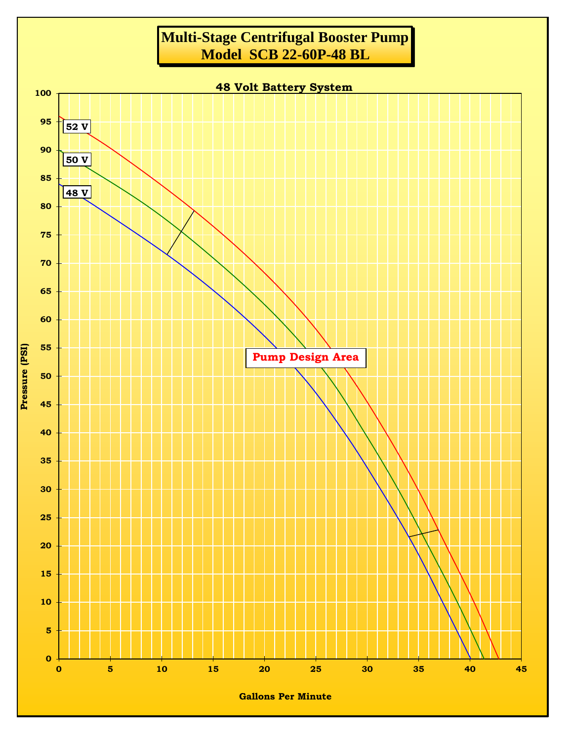